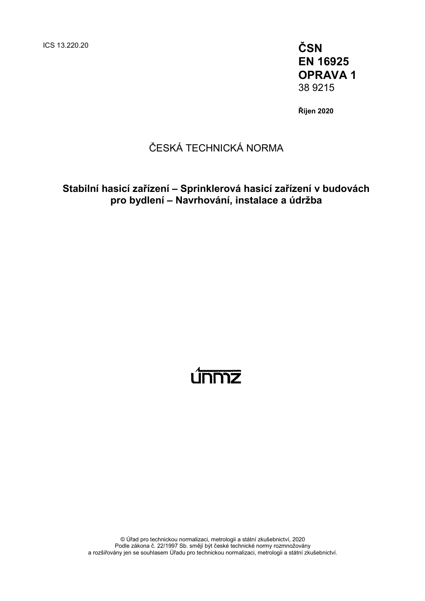ICS 13.220.20 **ČSN**

**EN 16925 OPRAVA 1** 38 9215

**Říjen 2020**

### ČESKÁ TECHNICKÁ NORMA

### **Stabilní hasicí zařízení – Sprinklerová hasicí zařízení v budovách pro bydlení – Navrhování, instalace a údržba**

# <u>únnnz</u>

© Úřad pro technickou normalizaci, metrologii a státní zkušebnictví, 2020 Podle zákona č. 22/1997 Sb. smějí být české technické normy rozmnožovány a rozšiřovány jen se souhlasem Úřadu pro technickou normalizaci, metrologii a státní zkušebnictví.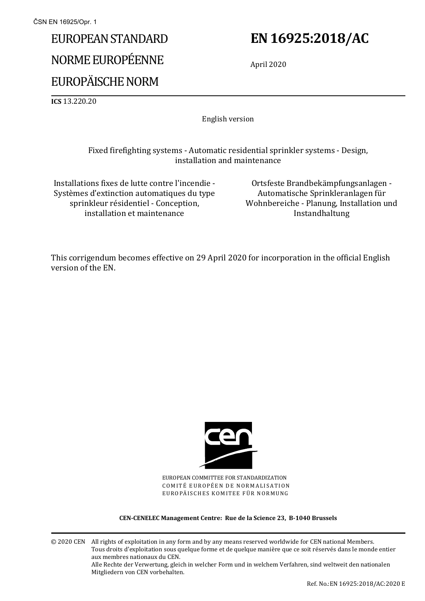# EUROPEAN STANDARD NORME EUROPÉENNE EUROPÄISCHE NORM

## **EN 16925:2018/AC**

April 2020

**ICS** 13.220.20

English version

### Fixed firefighting systems - Automatic residential sprinkler systems - Design, installation and maintenance

Installations fixes de lutte contre l'incendie - Systèmes d'extinction automatiques du type sprinkleur résidentiel - Conception, installation et maintenance

Ortsfeste Brandbekämpfungsanlagen - Automatische Sprinkleranlagen für Wohnbereiche - Planung, Installation und Instandhaltung

This corrigendum becomes effective on 29 April 2020 for incorporation in the official English version of the EN.



EUROPEAN COMMITTEE FOR STANDARDIZATION COMITÉ EUROPÉEN DE NORMALISATION EUROPÄISCHES KOMITEE FÜR NORMUNG

#### **CEN-CENELEC Management Centre: Rue de la Science 23, B-1040 Brussels**

© 2020 CEN All rights of exploitation in any form and by any means reserved worldwide for CEN national Members. Tous droits d'exploitation sous quelque forme et de quelque manière que ce soit réservés dans le monde entier aux membres nationaux du CEN. Alle Rechte der Verwertung, gleich in welcher Form und in welchem Verfahren, sind weltweit den nationalen Mitgliedern von CEN vorbehalten.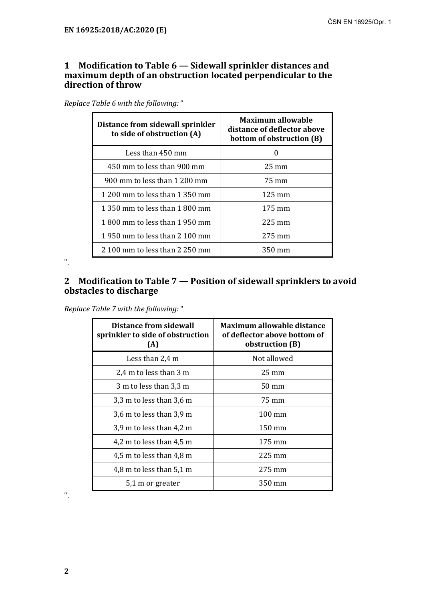#### **1 Modification to Table 6 — Sidewall sprinkler distances and maximum depth of an obstruction located perpendicular to the direction of throw**

| Replace Table 6 with the following: " |  |  |  |
|---------------------------------------|--|--|--|
|---------------------------------------|--|--|--|

| Distance from sidewall sprinkler<br>to side of obstruction (A) | <b>Maximum allowable</b><br>distance of deflector above<br>bottom of obstruction (B) |  |
|----------------------------------------------------------------|--------------------------------------------------------------------------------------|--|
| Less than 450 mm                                               |                                                                                      |  |
| 450 mm to less than 900 mm                                     | $25 \text{ mm}$                                                                      |  |
| 900 mm to less than 1 200 mm                                   | 75 mm                                                                                |  |
| 1 200 mm to less than 1 350 mm                                 | $125 \text{ mm}$                                                                     |  |
| 1 350 mm to less than 1 800 mm                                 | $175 \text{ mm}$                                                                     |  |
| 1 800 mm to less than 1 950 mm                                 | $225 \text{ mm}$                                                                     |  |
| 1 950 mm to less than 2 100 mm                                 | $275 \text{ mm}$                                                                     |  |
| 2 100 mm to less than 2 250 mm                                 | 350 mm                                                                               |  |

".

### **2 Modification to Table 7 — Position of sidewall sprinklers to avoid obstacles to discharge**

*Replace Table 7 with the following:* "

| <b>Distance from sidewall</b><br>sprinkler to side of obstruction<br>(A) | <b>Maximum allowable distance</b><br>of deflector above bottom of<br>obstruction (B) |  |
|--------------------------------------------------------------------------|--------------------------------------------------------------------------------------|--|
| Less than 2,4 m                                                          | Not allowed                                                                          |  |
| 2,4 m to less than 3 m                                                   | $25 \text{ mm}$                                                                      |  |
| 3 m to less than 3,3 m                                                   | $50 \text{ mm}$                                                                      |  |
| 3,3 m to less than 3,6 m                                                 | 75 mm                                                                                |  |
| 3,6 m to less than 3,9 m                                                 | $100 \text{ mm}$                                                                     |  |
| $3.9$ m to less than 4.2 m                                               | $150 \text{ mm}$                                                                     |  |
| 4,2 m to less than 4,5 m                                                 | $175 \text{ mm}$                                                                     |  |
| 4,5 m to less than 4,8 m                                                 | $225 \text{ mm}$                                                                     |  |
| 4,8 m to less than $5.1$ m                                               | $275 \text{ mm}$                                                                     |  |
| 5,1 m or greater                                                         | 350 mm                                                                               |  |

".